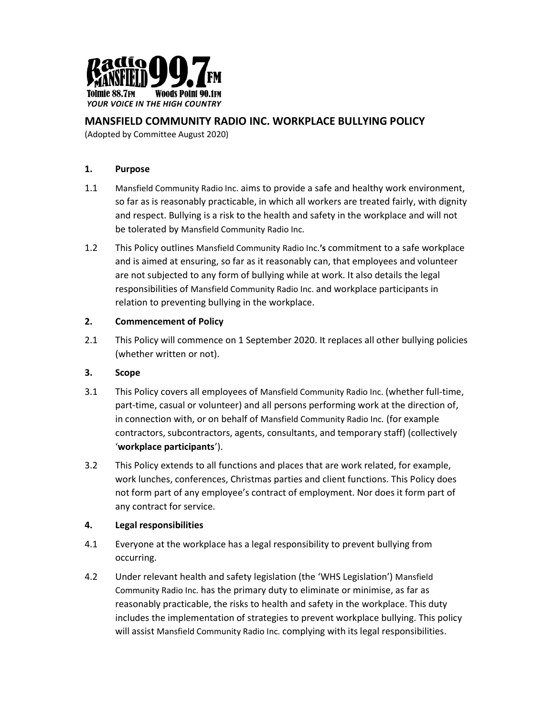

# MANSFIELD COMMUNITY RADIO INC. WORKPLACE BULLYING POLICY

(Adopted by Committee August 2020)

### 1. Purpose

- 1.1 Mansfield Community Radio Inc. aims to provide a safe and healthy work environment, so far as is reasonably practicable, in which all workers are treated fairly, with dignity and respect. Bullying is a risk to the health and safety in the workplace and will not be tolerated by Mansfield Community Radio Inc.
- 1.2 This Policy outlines Mansfield Community Radio Inc.'s commitment to a safe workplace and is aimed at ensuring, so far as it reasonably can, that employees and volunteer are not subjected to any form of bullying while at work. It also details the legal responsibilities of Mansfield Community Radio Inc. and workplace participants in relation to preventing bullying in the workplace.

### 2. Commencement of Policy

2.1 This Policy will commence on 1 September 2020. It replaces all other bullying policies (whether written or not).

### 3. Scope

- 3.1 This Policy covers all employees of Mansfield Community Radio Inc. (whether full-time, part-time, casual or volunteer) and all persons performing work at the direction of, in connection with, or on behalf of Mansfield Community Radio Inc. (for example contractors, subcontractors, agents, consultants, and temporary staff) (collectively 'workplace participants').
- 3.2 This Policy extends to all functions and places that are work related, for example, work lunches, conferences, Christmas parties and client functions. This Policy does not form part of any employee's contract of employment. Nor does it form part of any contract for service.

### 4. Legal responsibilities

- 4.1 Everyone at the workplace has a legal responsibility to prevent bullying from occurring.
- 4.2 Under relevant health and safety legislation (the 'WHS Legislation') Mansfield Community Radio Inc. has the primary duty to eliminate or minimise, as far as reasonably practicable, the risks to health and safety in the workplace. This duty includes the implementation of strategies to prevent workplace bullying. This policy will assist Mansfield Community Radio Inc. complying with its legal responsibilities.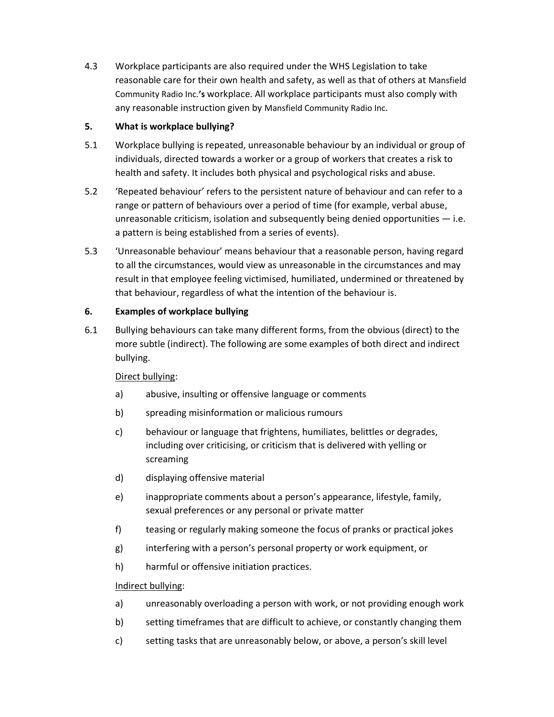4.3 Workplace participants are also required under the WHS Legislation to take reasonable care for their own health and safety, as well as that of others at Mansfield Community Radio Inc.'s workplace. All workplace participants must also comply with any reasonable instruction given by Mansfield Community Radio Inc.

### 5. What is workplace bullying?

- 5.1 Workplace bullying is repeated, unreasonable behaviour by an individual or group of individuals, directed towards a worker or a group of workers that creates a risk to health and safety. It includes both physical and psychological risks and abuse.
- 5.2 'Repeated behaviour' refers to the persistent nature of behaviour and can refer to a range or pattern of behaviours over a period of time (for example, verbal abuse, unreasonable criticism, isolation and subsequently being denied opportunities  $-$  i.e. a pattern is being established from a series of events).
- 5.3 'Unreasonable behaviour' means behaviour that a reasonable person, having regard to all the circumstances, would view as unreasonable in the circumstances and may result in that employee feeling victimised, humiliated, undermined or threatened by that behaviour, regardless of what the intention of the behaviour is.

# 6. Examples of workplace bullying

6.1 Bullying behaviours can take many different forms, from the obvious (direct) to the more subtle (indirect). The following are some examples of both direct and indirect bullying.

# Direct bullying:

- a) abusive, insulting or offensive language or comments
- b) spreading misinformation or malicious rumours
- c) behaviour or language that frightens, humiliates, belittles or degrades, including over criticising, or criticism that is delivered with yelling or screaming
- d) displaying offensive material
- e) inappropriate comments about a person's appearance, lifestyle, family, sexual preferences or any personal or private matter
- f) teasing or regularly making someone the focus of pranks or practical jokes
- g) interfering with a person's personal property or work equipment, or
- h) harmful or offensive initiation practices.

### Indirect bullying:

- a) unreasonably overloading a person with work, or not providing enough work
- b) setting timeframes that are difficult to achieve, or constantly changing them
- c) setting tasks that are unreasonably below, or above, a person's skill level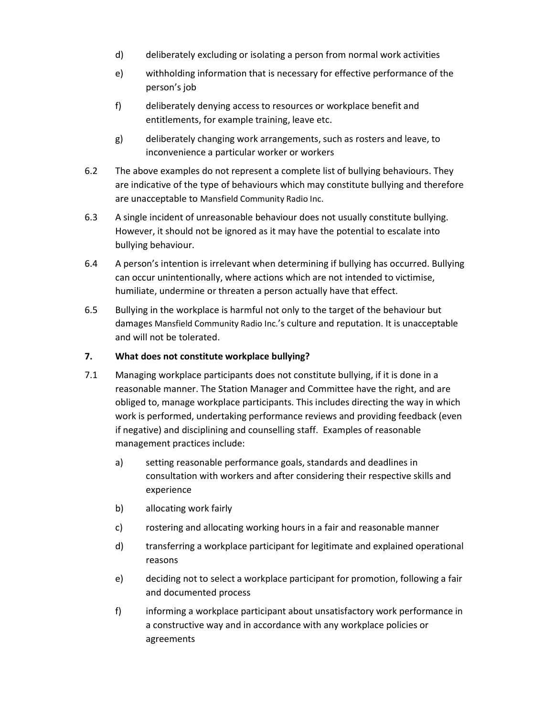- d) deliberately excluding or isolating a person from normal work activities
- e) withholding information that is necessary for effective performance of the person's job
- f) deliberately denying access to resources or workplace benefit and entitlements, for example training, leave etc.
- g) deliberately changing work arrangements, such as rosters and leave, to inconvenience a particular worker or workers
- 6.2 The above examples do not represent a complete list of bullying behaviours. They are indicative of the type of behaviours which may constitute bullying and therefore are unacceptable to Mansfield Community Radio Inc.
- 6.3 A single incident of unreasonable behaviour does not usually constitute bullying. However, it should not be ignored as it may have the potential to escalate into bullying behaviour.
- 6.4 A person's intention is irrelevant when determining if bullying has occurred. Bullying can occur unintentionally, where actions which are not intended to victimise, humiliate, undermine or threaten a person actually have that effect.
- 6.5 Bullying in the workplace is harmful not only to the target of the behaviour but damages Mansfield Community Radio Inc.'s culture and reputation. It is unacceptable and will not be tolerated.

### 7. What does not constitute workplace bullying?

- 7.1 Managing workplace participants does not constitute bullying, if it is done in a reasonable manner. The Station Manager and Committee have the right, and are obliged to, manage workplace participants. This includes directing the way in which work is performed, undertaking performance reviews and providing feedback (even if negative) and disciplining and counselling staff. Examples of reasonable management practices include:
	- a) setting reasonable performance goals, standards and deadlines in consultation with workers and after considering their respective skills and experience
	- b) allocating work fairly
	- c) rostering and allocating working hours in a fair and reasonable manner
	- d) transferring a workplace participant for legitimate and explained operational reasons
	- e) deciding not to select a workplace participant for promotion, following a fair and documented process
	- f) informing a workplace participant about unsatisfactory work performance in a constructive way and in accordance with any workplace policies or agreements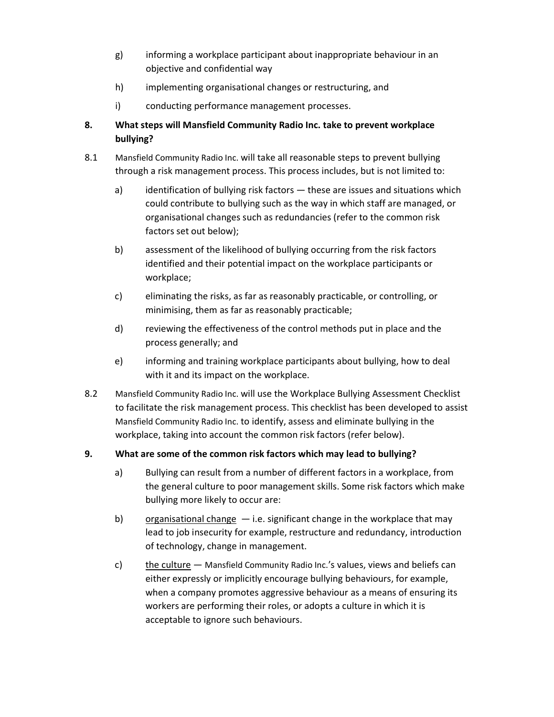- g) informing a workplace participant about inappropriate behaviour in an objective and confidential way
- h) implementing organisational changes or restructuring, and
- i) conducting performance management processes.

# 8. What steps will Mansfield Community Radio Inc. take to prevent workplace bullying?

- 8.1 Mansfield Community Radio Inc. will take all reasonable steps to prevent bullying through a risk management process. This process includes, but is not limited to:
	- a) identification of bullying risk factors these are issues and situations which could contribute to bullying such as the way in which staff are managed, or organisational changes such as redundancies (refer to the common risk factors set out below);
	- b) assessment of the likelihood of bullying occurring from the risk factors identified and their potential impact on the workplace participants or workplace;
	- c) eliminating the risks, as far as reasonably practicable, or controlling, or minimising, them as far as reasonably practicable;
	- d) reviewing the effectiveness of the control methods put in place and the process generally; and
	- e) informing and training workplace participants about bullying, how to deal with it and its impact on the workplace.
- 8.2 Mansfield Community Radio Inc. will use the Workplace Bullying Assessment Checklist to facilitate the risk management process. This checklist has been developed to assist Mansfield Community Radio Inc. to identify, assess and eliminate bullying in the workplace, taking into account the common risk factors (refer below).

### 9. What are some of the common risk factors which may lead to bullying?

- a) Bullying can result from a number of different factors in a workplace, from the general culture to poor management skills. Some risk factors which make bullying more likely to occur are:
- b) organisational change  $-$  i.e. significant change in the workplace that may lead to job insecurity for example, restructure and redundancy, introduction of technology, change in management.
- c) the culture Mansfield Community Radio Inc.'s values, views and beliefs can either expressly or implicitly encourage bullying behaviours, for example, when a company promotes aggressive behaviour as a means of ensuring its workers are performing their roles, or adopts a culture in which it is acceptable to ignore such behaviours.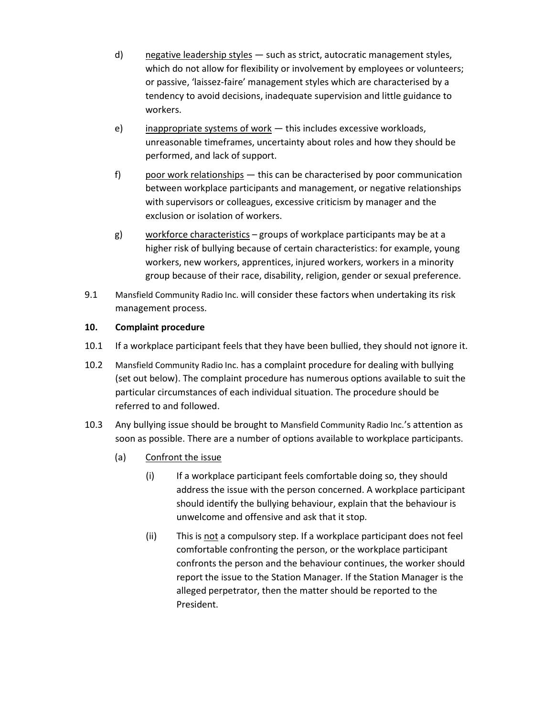- d) negative leadership styles such as strict, autocratic management styles, which do not allow for flexibility or involvement by employees or volunteers; or passive, 'laissez-faire' management styles which are characterised by a tendency to avoid decisions, inadequate supervision and little guidance to workers.
- e) inappropriate systems of work  $-$  this includes excessive workloads, unreasonable timeframes, uncertainty about roles and how they should be performed, and lack of support.
- f) poor work relationships this can be characterised by poor communication between workplace participants and management, or negative relationships with supervisors or colleagues, excessive criticism by manager and the exclusion or isolation of workers.
- g) workforce characteristics groups of workplace participants may be at a higher risk of bullying because of certain characteristics: for example, young workers, new workers, apprentices, injured workers, workers in a minority group because of their race, disability, religion, gender or sexual preference.
- 9.1 Mansfield Community Radio Inc. will consider these factors when undertaking its risk management process.

### 10. Complaint procedure

- 10.1 If a workplace participant feels that they have been bullied, they should not ignore it.
- 10.2 Mansfield Community Radio Inc. has a complaint procedure for dealing with bullying (set out below). The complaint procedure has numerous options available to suit the particular circumstances of each individual situation. The procedure should be referred to and followed.
- 10.3 Any bullying issue should be brought to Mansfield Community Radio Inc.'s attention as soon as possible. There are a number of options available to workplace participants.
	- (a) Confront the issue
		- (i) If a workplace participant feels comfortable doing so, they should address the issue with the person concerned. A workplace participant should identify the bullying behaviour, explain that the behaviour is unwelcome and offensive and ask that it stop.
		- (ii) This is not a compulsory step. If a workplace participant does not feel comfortable confronting the person, or the workplace participant confronts the person and the behaviour continues, the worker should report the issue to the Station Manager. If the Station Manager is the alleged perpetrator, then the matter should be reported to the President.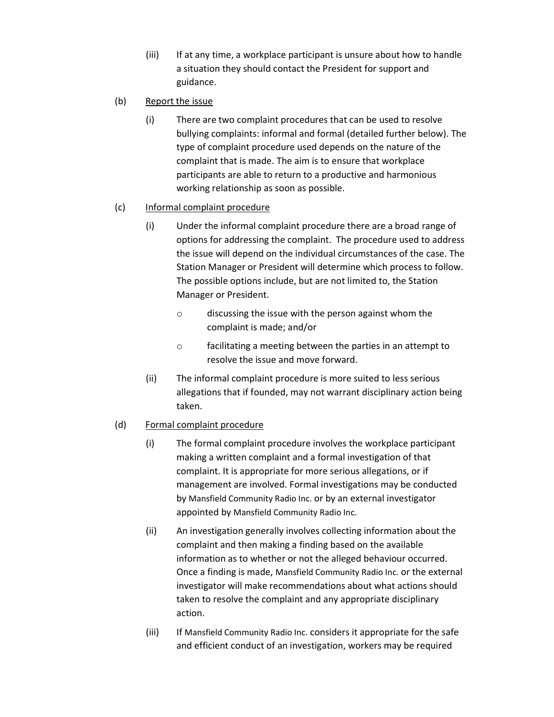(iii) If at any time, a workplace participant is unsure about how to handle a situation they should contact the President for support and guidance.

### (b) Report the issue

(i) There are two complaint procedures that can be used to resolve bullying complaints: informal and formal (detailed further below). The type of complaint procedure used depends on the nature of the complaint that is made. The aim is to ensure that workplace participants are able to return to a productive and harmonious working relationship as soon as possible.

### (c) Informal complaint procedure

- (i) Under the informal complaint procedure there are a broad range of options for addressing the complaint. The procedure used to address the issue will depend on the individual circumstances of the case. The Station Manager or President will determine which process to follow. The possible options include, but are not limited to, the Station Manager or President.
	- o discussing the issue with the person against whom the complaint is made; and/or
	- o facilitating a meeting between the parties in an attempt to resolve the issue and move forward.
- (ii) The informal complaint procedure is more suited to less serious allegations that if founded, may not warrant disciplinary action being taken.

### (d) Formal complaint procedure

- (i) The formal complaint procedure involves the workplace participant making a written complaint and a formal investigation of that complaint. It is appropriate for more serious allegations, or if management are involved. Formal investigations may be conducted by Mansfield Community Radio Inc. or by an external investigator appointed by Mansfield Community Radio Inc.
- (ii) An investigation generally involves collecting information about the complaint and then making a finding based on the available information as to whether or not the alleged behaviour occurred. Once a finding is made, Mansfield Community Radio Inc. or the external investigator will make recommendations about what actions should taken to resolve the complaint and any appropriate disciplinary action.
- (iii) If Mansfield Community Radio Inc. considers it appropriate for the safe and efficient conduct of an investigation, workers may be required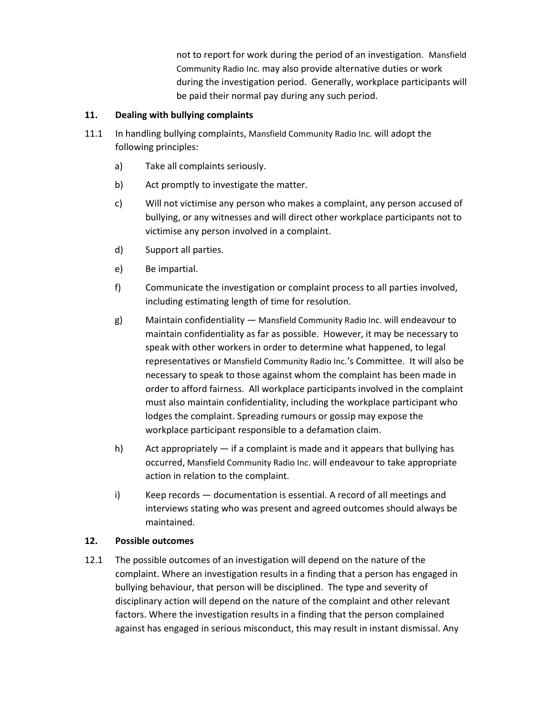not to report for work during the period of an investigation. Mansfield Community Radio Inc. may also provide alternative duties or work during the investigation period. Generally, workplace participants will be paid their normal pay during any such period.

### 11. Dealing with bullying complaints

- 11.1 In handling bullying complaints, Mansfield Community Radio Inc. will adopt the following principles:
	- a) Take all complaints seriously.
	- b) Act promptly to investigate the matter.
	- c) Will not victimise any person who makes a complaint, any person accused of bullying, or any witnesses and will direct other workplace participants not to victimise any person involved in a complaint.
	- d) Support all parties.
	- e) Be impartial.
	- f) Communicate the investigation or complaint process to all parties involved, including estimating length of time for resolution.
	- g) Maintain confidentiality Mansfield Community Radio Inc. will endeavour to maintain confidentiality as far as possible. However, it may be necessary to speak with other workers in order to determine what happened, to legal representatives or Mansfield Community Radio Inc.'s Committee. It will also be necessary to speak to those against whom the complaint has been made in order to afford fairness. All workplace participants involved in the complaint must also maintain confidentiality, including the workplace participant who lodges the complaint. Spreading rumours or gossip may expose the workplace participant responsible to a defamation claim.
	- h) Act appropriately if a complaint is made and it appears that bullying has occurred, Mansfield Community Radio Inc. will endeavour to take appropriate action in relation to the complaint.
	- i) Keep records documentation is essential. A record of all meetings and interviews stating who was present and agreed outcomes should always be maintained.

#### 12. Possible outcomes

12.1 The possible outcomes of an investigation will depend on the nature of the complaint. Where an investigation results in a finding that a person has engaged in bullying behaviour, that person will be disciplined. The type and severity of disciplinary action will depend on the nature of the complaint and other relevant factors. Where the investigation results in a finding that the person complained against has engaged in serious misconduct, this may result in instant dismissal. Any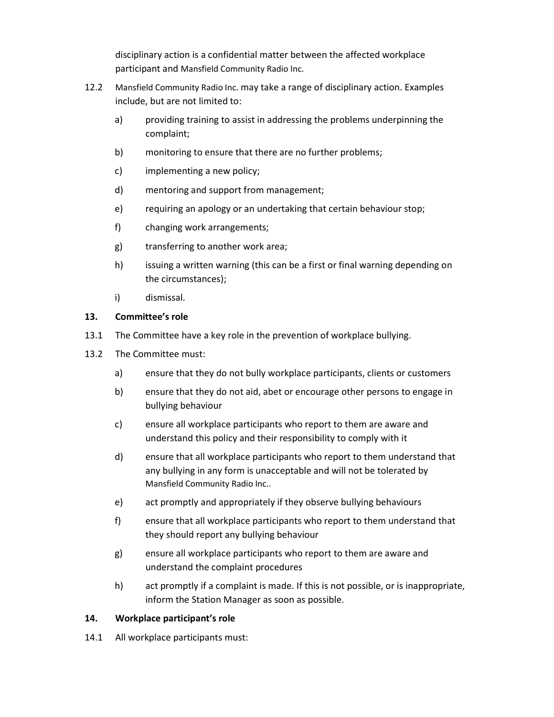disciplinary action is a confidential matter between the affected workplace participant and Mansfield Community Radio Inc.

- 12.2 Mansfield Community Radio Inc. may take a range of disciplinary action. Examples include, but are not limited to:
	- a) providing training to assist in addressing the problems underpinning the complaint;
	- b) monitoring to ensure that there are no further problems;
	- c) implementing a new policy;
	- d) mentoring and support from management;
	- e) requiring an apology or an undertaking that certain behaviour stop;
	- f) changing work arrangements;
	- g) transferring to another work area;
	- h) issuing a written warning (this can be a first or final warning depending on the circumstances);
	- i) dismissal.

### 13. Committee's role

- 13.1 The Committee have a key role in the prevention of workplace bullying.
- 13.2 The Committee must:
	- a) ensure that they do not bully workplace participants, clients or customers
	- b) ensure that they do not aid, abet or encourage other persons to engage in bullying behaviour
	- c) ensure all workplace participants who report to them are aware and understand this policy and their responsibility to comply with it
	- d) ensure that all workplace participants who report to them understand that any bullying in any form is unacceptable and will not be tolerated by Mansfield Community Radio Inc..
	- e) act promptly and appropriately if they observe bullying behaviours
	- f) ensure that all workplace participants who report to them understand that they should report any bullying behaviour
	- g) ensure all workplace participants who report to them are aware and understand the complaint procedures
	- h) act promptly if a complaint is made. If this is not possible, or is inappropriate, inform the Station Manager as soon as possible.

### 14. Workplace participant's role

14.1 All workplace participants must: